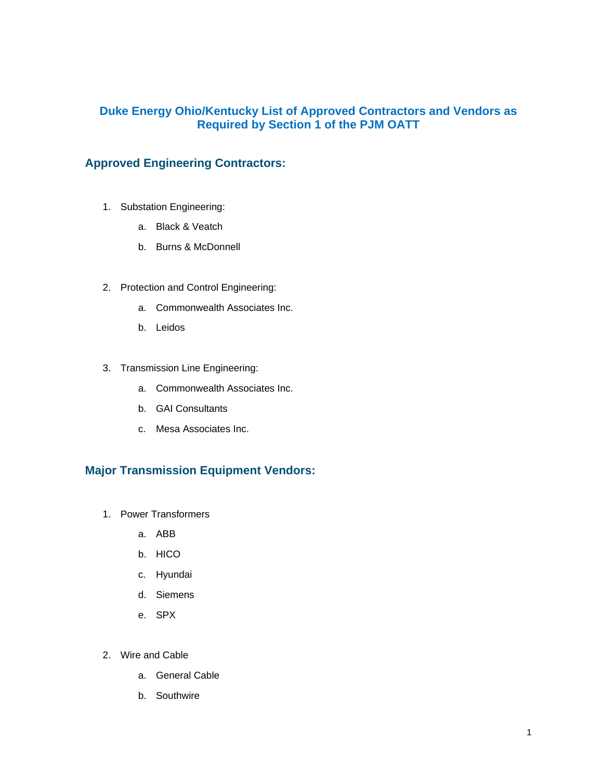## **Duke Energy Ohio/Kentucky List of Approved Contractors and Vendors as Required by Section 1 of the PJM OATT**

## **Approved Engineering Contractors:**

- 1. Substation Engineering:
	- a. Black & Veatch
	- b. Burns & McDonnell
- 2. Protection and Control Engineering:
	- a. Commonwealth Associates Inc.
	- b. Leidos
- 3. Transmission Line Engineering:
	- a. Commonwealth Associates Inc.
	- b. GAI Consultants
	- c. Mesa Associates Inc.

## **Major Transmission Equipment Vendors:**

- 1. Power Transformers
	- a. ABB
	- b. HICO
	- c. Hyundai
	- d. Siemens
	- e. SPX
- 2. Wire and Cable
	- a. General Cable
	- b. Southwire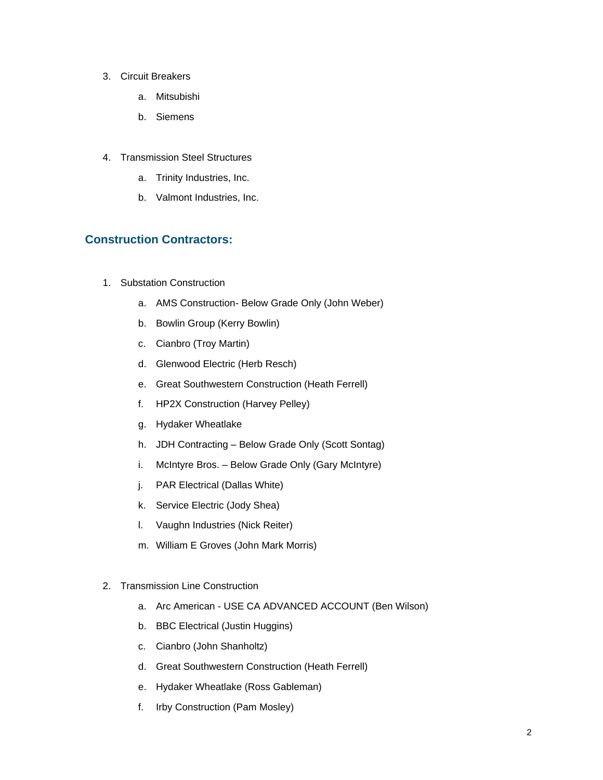- 3. Circuit Breakers
	- a. Mitsubishi
	- b. Siemens
- 4. Transmission Steel Structures
	- a. Trinity Industries, Inc.
	- b. Valmont Industries, Inc.

## **Construction Contractors:**

- 1. Substation Construction
	- a. AMS Construction- Below Grade Only (John Weber)
	- b. Bowlin Group (Kerry Bowlin)
	- c. Cianbro (Troy Martin)
	- d. Glenwood Electric (Herb Resch)
	- e. Great Southwestern Construction (Heath Ferrell)
	- f. HP2X Construction (Harvey Pelley)
	- g. Hydaker Wheatlake
	- h. JDH Contracting Below Grade Only (Scott Sontag)
	- i. McIntyre Bros. Below Grade Only (Gary McIntyre)
	- j. PAR Electrical (Dallas White)
	- k. Service Electric (Jody Shea)
	- l. Vaughn Industries (Nick Reiter)
	- m. William E Groves (John Mark Morris)
- 2. Transmission Line Construction
	- a. Arc American USE CA ADVANCED ACCOUNT (Ben Wilson)
	- b. BBC Electrical (Justin Huggins)
	- c. Cianbro (John Shanholtz)
	- d. Great Southwestern Construction (Heath Ferrell)
	- e. Hydaker Wheatlake (Ross Gableman)
	- f. Irby Construction (Pam Mosley)